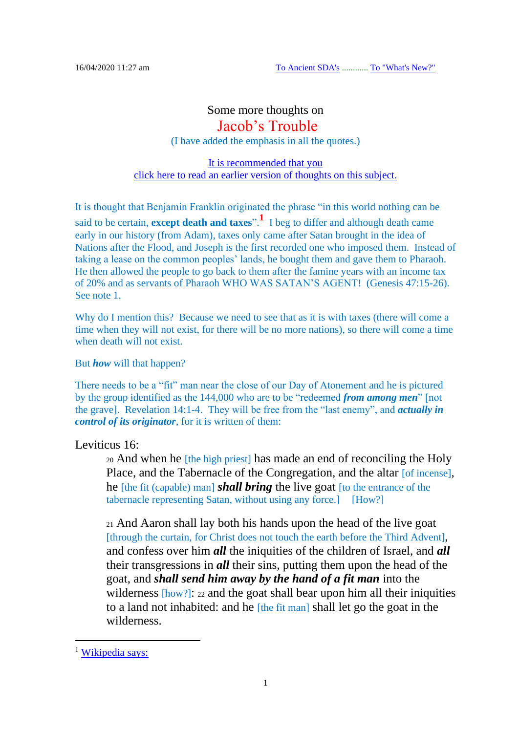# Some more thoughts on Jacob's Trouble

(I have added the emphasis in all the quotes.)

#### [It is recommended that you](https://ancient-sda.com/ancient/jacobs_trouble/jacobs_trouble_28_apr_2015.pdf) [click here to read an earlier version of thoughts on this subject.](https://ancient-sda.com/ancient/jacobs_trouble/jacobs_trouble_28_apr_2015.pdf)

It is thought that Benjamin Franklin originated the phrase "in this world nothing can be said to be certain, **except death and taxes**".<sup>1</sup> I beg to differ and although death came early in our history (from Adam), taxes only came after Satan brought in the idea of Nations after the Flood, and Joseph is the first recorded one who imposed them. Instead of taking a lease on the common peoples' lands, he bought them and gave them to Pharaoh. He then allowed the people to go back to them after the famine years with an income tax of 20% and as servants of Pharaoh WHO WAS SATAN'S AGENT! (Genesis 47:15-26). See note 1.

Why do I mention this? Because we need to see that as it is with taxes (there will come a time when they will not exist, for there will be no more nations), so there will come a time when death will not exist.

But *how* will that happen?

There needs to be a "fit" man near the close of our Day of Atonement and he is pictured by the group identified as the 144,000 who are to be "redeemed *from among men*" [not the grave]. Revelation 14:1-4. They will be free from the "last enemy", and *actually in control of its originator*, for it is written of them:

Leviticus 16:

<sup>20</sup> And when he [the high priest] has made an end of reconciling the Holy Place, and the Tabernacle of the Congregation, and the altar [of incense]. he [the fit (capable) man] *shall bring* the live goat [to the entrance of the tabernacle representing Satan, without using any force.] [How?]

<sup>21</sup> And Aaron shall lay both his hands upon the head of the live goat [through the curtain, for Christ does not touch the earth before the Third Advent], and confess over him *all* the iniquities of the children of Israel, and *all* their transgressions in *all* their sins, putting them upon the head of the goat, and *shall send him away by the hand of a fit man* into the wilderness [how?]: 22 and the goat shall bear upon him all their iniquities to a land not inhabited: and he [the fit man] shall let go the goat in the wilderness.

<sup>&</sup>lt;sup>1</sup> [Wikipedia says:](https://www.google.com/search?client=firefox-b-d&q=Origin+of+%22two+things+certain%22+death+and+taxes)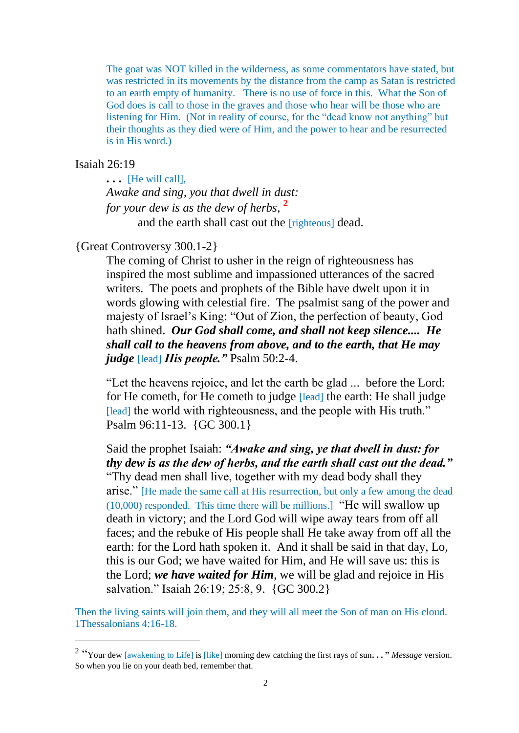The goat was NOT killed in the wilderness, as some commentators have stated, but was restricted in its movements by the distance from the camp as Satan is restricted to an earth empty of humanity. There is no use of force in this. What the Son of God does is call to those in the graves and those who hear will be those who are listening for Him. (Not in reality of course, for the "dead know not anything" but their thoughts as they died were of Him, and the power to hear and be resurrected is in His word.)

#### Isaiah 26:19

**. . .** [He will call], *Awake and sing, you that dwell in dust: for your dew is as the dew of herbs*, **2** and the earth shall cast out the [righteous] dead.

### {Great Controversy 300.1-2}

The coming of Christ to usher in the reign of righteousness has inspired the most sublime and impassioned utterances of the sacred writers. The poets and prophets of the Bible have dwelt upon it in words glowing with celestial fire. The psalmist sang of the power and majesty of Israel's King: "Out of Zion, the perfection of beauty, God hath shined. *Our God shall come, and shall not keep silence.... He shall call to the heavens from above, and to the earth, that He may judge* [lead] *His people."* Psalm 50:2-4.

"Let the heavens rejoice, and let the earth be glad ... before the Lord: for He cometh, for He cometh to judge [lead] the earth: He shall judge [lead] the world with righteousness, and the people with His truth." Psalm 96:11-13. {GC 300.1}

Said the prophet Isaiah: *"Awake and sing, ye that dwell in dust: for thy dew is as the dew of herbs, and the earth shall cast out the dead."* "Thy dead men shall live, together with my dead body shall they arise." [He made the same call at His resurrection, but only a few among the dead (10,000) responded. This time there will be millions.] "He will swallow up death in victory; and the Lord God will wipe away tears from off all faces; and the rebuke of His people shall He take away from off all the earth: for the Lord hath spoken it. And it shall be said in that day, Lo, this is our God; we have waited for Him, and He will save us: this is the Lord; *we have waited for Him*, we will be glad and rejoice in His salvation." Isaiah 26:19; 25:8, 9. {GC 300.2}

Then the living saints will join them, and they will all meet the Son of man on His cloud. 1Thessalonians 4:16-18.

<sup>2</sup> "Your dew [awakening to Life] is [like] morning dew catching the first rays of sun**. . . "** *Message* version. So when you lie on your death bed, remember that.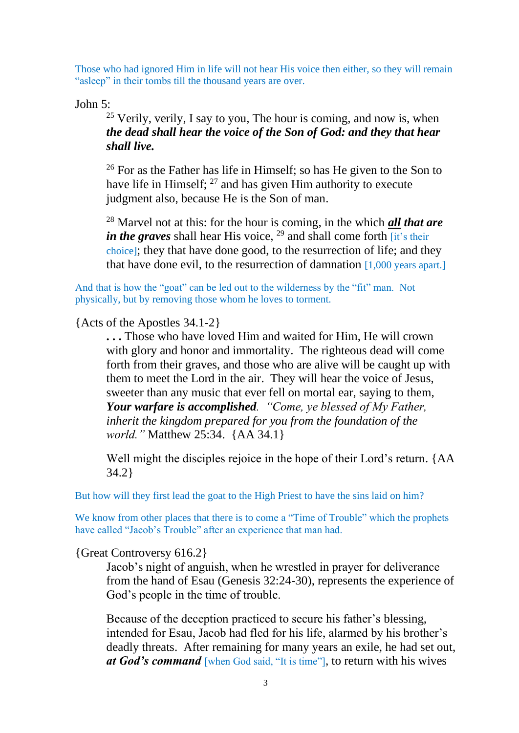Those who had ignored Him in life will not hear His voice then either, so they will remain "asleep" in their tombs till the thousand years are over.

John 5:

 $25$  Verily, verily, I say to you, The hour is coming, and now is, when *the dead shall hear the voice of the Son of God: and they that hear shall live.*

 $26$  For as the Father has life in Himself; so has He given to the Son to have life in Himself;  $27$  and has given Him authority to execute judgment also, because He is the Son of man.  $\overline{a}$ 

<sup>28</sup> Marvel not at this: for the hour is coming, in the which *all that are in the graves* shall hear His voice,  $^{29}$  and shall come forth [it's their choice]; they that have done good, to the resurrection of life; and they that have done evil, to the resurrection of damnation [1,000 years apart.]

And that is how the "goat" can be led out to the wilderness by the "fit" man. Not physically, but by removing those whom he loves to torment.

{Acts of the Apostles 34.1-2}

**. . .** Those who have loved Him and waited for Him, He will crown with glory and honor and immortality. The righteous dead will come forth from their graves, and those who are alive will be caught up with them to meet the Lord in the air. They will hear the voice of Jesus, sweeter than any music that ever fell on mortal ear, saying to them, *Your warfare is accomplished. "Come, ye blessed of My Father, inherit the kingdom prepared for you from the foundation of the world."* Matthew 25:34. {AA 34.1}

Well might the disciples rejoice in the hope of their Lord's return. {AA 34.2}

But how will they first lead the goat to the High Priest to have the sins laid on him?

We know from other places that there is to come a "Time of Trouble" which the prophets have called "Jacob's Trouble" after an experience that man had.

{Great Controversy 616.2}

Jacob's night of anguish, when he wrestled in prayer for deliverance from the hand of Esau (Genesis 32:24-30), represents the experience of God's people in the time of trouble.

Because of the deception practiced to secure his father's blessing, intended for Esau, Jacob had fled for his life, alarmed by his brother's deadly threats. After remaining for many years an exile, he had set out, at God's command [when God said, "It is time"], to return with his wives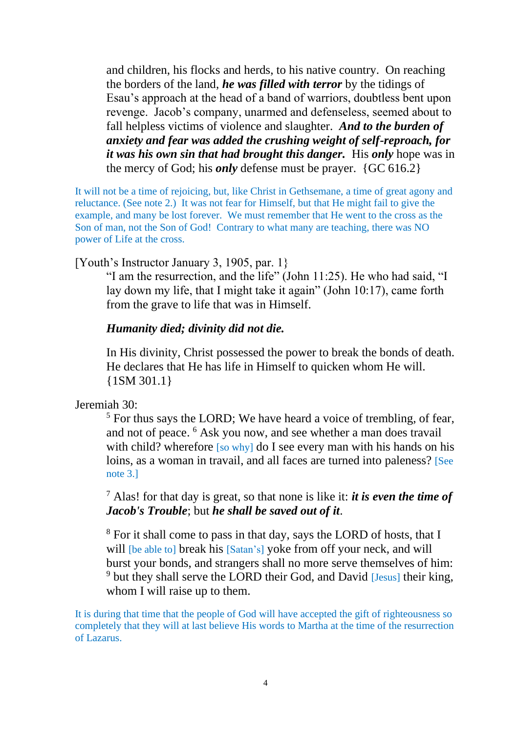and children, his flocks and herds, to his native country. On reaching the borders of the land, *he was filled with terror* by the tidings of Esau's approach at the head of a band of warriors, doubtless bent upon revenge. Jacob's company, unarmed and defenseless, seemed about to fall helpless victims of violence and slaughter. *And to the burden of anxiety and fear was added the crushing weight of self-reproach, for it was his own sin that had brought this danger.* His *only* hope was in the mercy of God; his *only* defense must be prayer. {GC 616.2}

It will not be a time of rejoicing, but, like Christ in Gethsemane, a time of great agony and reluctance. (See note 2.) It was not fear for Himself, but that He might fail to give the example, and many be lost forever. We must remember that He went to the cross as the Son of man, not the Son of God! Contrary to what many are teaching, there was NO power of Life at the cross.

[Youth's Instructor January 3, 1905, par. 1}

"I am the resurrection, and the life" (John 11:25). He who had said, "I lay down my life, that I might take it again" (John 10:17), came forth from the grave to life that was in Himself.

### *Humanity died; divinity did not die.*

In His divinity, Christ possessed the power to break the bonds of death. He declares that He has life in Himself to quicken whom He will. {1SM 301.1}

### Jeremiah 30:

 $<sup>5</sup>$  For thus says the LORD; We have heard a voice of trembling, of fear,</sup> and not of peace. <sup>6</sup> Ask you now, and see whether a man does travail with child? wherefore [so why] do I see every man with his hands on his loins, as a woman in travail, and all faces are turned into paleness? [See note 3.]

<sup>7</sup> Alas! for that day is great, so that none is like it: *it is even the time of Jacob's Trouble*; but *he shall be saved out of it*.

<sup>8</sup> For it shall come to pass in that day, says the LORD of hosts, that I will **[be able to]** break his **[Satan's]** yoke from off your neck, and will burst your bonds, and strangers shall no more serve themselves of him: <sup>9</sup> but they shall serve the LORD their God, and David [Jesus] their king, whom I will raise up to them.

It is during that time that the people of God will have accepted the gift of righteousness so completely that they will at last believe His words to Martha at the time of the resurrection of Lazarus.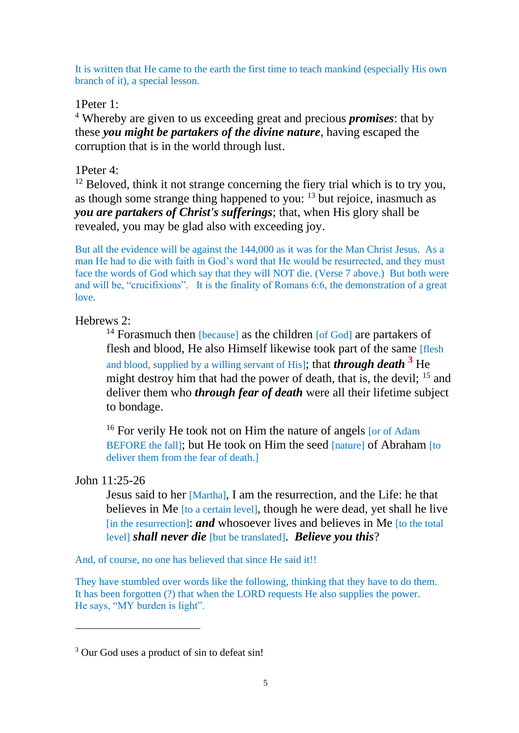It is written that He came to the earth the first time to teach mankind (especially His own branch of it), a special lesson.

1Peter 1:

<sup>4</sup> Whereby are given to us exceeding great and precious *promises*: that by these *you might be partakers of the divine nature*, having escaped the corruption that is in the world through lust.

1Peter 4:

 $12$  Beloved, think it not strange concerning the fiery trial which is to try you, as though some strange thing happened to you:  $13$  but rejoice, inasmuch as *you are partakers of Christ's sufferings*; that, when His glory shall be revealed, you may be glad also with exceeding joy.

But all the evidence will be against the 144,000 as it was for the Man Christ Jesus. As a man He had to die with faith in God's word that He would be resurrected, and they must face the words of God which say that they will NOT die. (Verse 7 above.) But both were and will be, "crucifixions". It is the finality of Romans 6:6, the demonstration of a great love.

# Hebrews 2:

<sup>14</sup> Forasmuch then  $\lceil$ because] as the children  $\lceil$  of God] are partakers of flesh and blood, He also Himself likewise took part of the same [flesh and blood, supplied by a willing servant of His]; that *through death* **<sup>3</sup>** He might destroy him that had the power of death, that is, the devil;  $15$  and deliver them who *through fear of death* were all their lifetime subject to bondage.

<sup>16</sup> For verily He took not on Him the nature of angels [or of Adam BEFORE the fall]; but He took on Him the seed [nature] of Abraham [to deliver them from the fear of death.]

## John 11:25-26

Jesus said to her [Martha], I am the resurrection, and the Life: he that believes in Me [to a certain level], though he were dead, yet shall he live [in the resurrection]: *and* whosoever lives and believes in Me [to the total level] *shall never die* [but be translated]. *Believe you this*?

And, of course, no one has believed that since He said it!!

They have stumbled over words like the following, thinking that they have to do them. It has been forgotten (?) that when the LORD requests He also supplies the power. He says, "MY burden is light".

<sup>&</sup>lt;sup>3</sup> Our God uses a product of sin to defeat sin!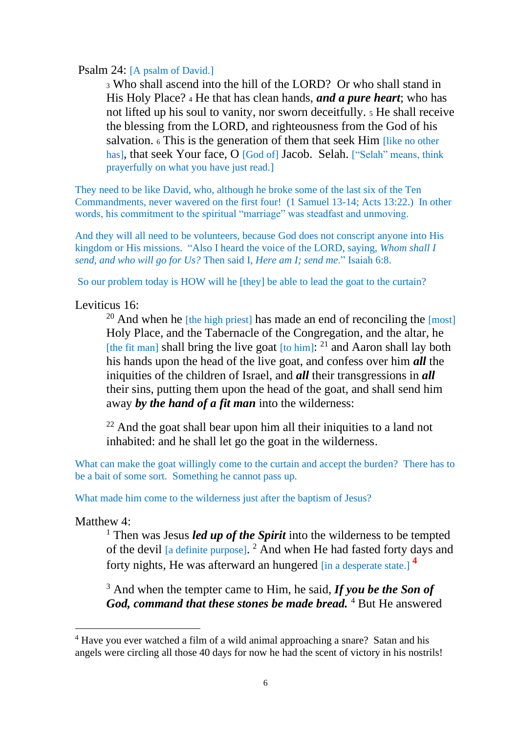#### Psalm 24: [A psalm of David.]

<sup>3</sup> Who shall ascend into the hill of the LORD? Or who shall stand in His Holy Place? <sup>4</sup> He that has clean hands, *and a pure heart*; who has not lifted up his soul to vanity, nor sworn deceitfully. <sup>5</sup> He shall receive the blessing from the LORD, and righteousness from the God of his salvation. 6 This is the generation of them that seek Him *Hike no other* has], that seek Your face, O [God of] Jacob. Selah. ["Selah" means, think prayerfully on what you have just read.]

They need to be like David, who, although he broke some of the last six of the Ten Commandments, never wavered on the first four! (1 Samuel 13-14; Acts 13:22.) In other words, his commitment to the spiritual "marriage" was steadfast and unmoving.

And they will all need to be volunteers, because God does not conscript anyone into His kingdom or His missions. "Also I heard the voice of the LORD, saying, *Whom shall I send, and who will go for Us?* Then said I, *Here am I; send me*." Isaiah 6:8.

So our problem today is HOW will he [they] be able to lead the goat to the curtain?

### Leviticus 16:

<sup>20</sup> And when he [the high priest] has made an end of reconciling the [most] Holy Place, and the Tabernacle of the Congregation, and the altar, he [the fit man] shall bring the live goat  $[$  to him]:  $21$  and Aaron shall lay both his hands upon the head of the live goat, and confess over him *all* the iniquities of the children of Israel, and *all* their transgressions in *all* their sins, putting them upon the head of the goat, and shall send him away *by the hand of a fit man* into the wilderness:

 $22$  And the goat shall bear upon him all their iniquities to a land not inhabited: and he shall let go the goat in the wilderness.

What can make the goat willingly come to the curtain and accept the burden? There has to be a bait of some sort. Something he cannot pass up.

What made him come to the wilderness just after the baptism of Jesus?

#### Matthew 4:

<sup>1</sup> Then was Jesus *led up of the Spirit* into the wilderness to be tempted of the devil  $[a]$  definite purpose]. <sup>2</sup> And when He had fasted forty days and forty nights, He was afterward an hungered [in a desperate state.] **4**

<sup>3</sup> And when the tempter came to Him, he said, *If you be the Son of God, command that these stones be made bread.* <sup>4</sup> But He answered

<sup>&</sup>lt;sup>4</sup> Have you ever watched a film of a wild animal approaching a snare? Satan and his angels were circling all those 40 days for now he had the scent of victory in his nostrils!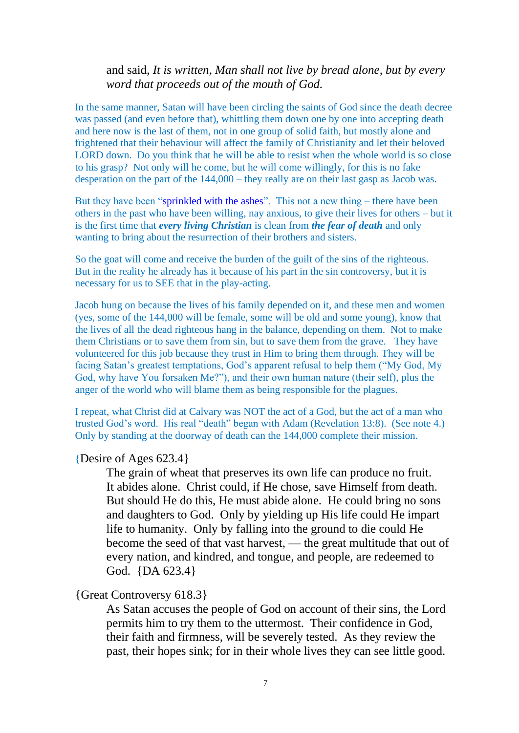### and said, *It is written, Man shall not live by bread alone, but by every word that proceeds out of the mouth of God.*

In the same manner, Satan will have been circling the saints of God since the death decree was passed (and even before that), whittling them down one by one into accepting death and here now is the last of them, not in one group of solid faith, but mostly alone and frightened that their behaviour will affect the family of Christianity and let their beloved LORD down. Do you think that he will be able to resist when the whole world is so close to his grasp? Not only will he come, but he will come willingly, for this is no fake desperation on the part of the 144,000 – they really are on their last gasp as Jacob was.

But they have been ["sprinkled with the ashes"](https://ancient-sda.com/ancient/the_trilogy/why_the_ritual_of_red_heifer.pdf). This not a new thing – there have been others in the past who have been willing, nay anxious, to give their lives for others – but it is the first time that *every living Christian* is clean from *the fear of death* and only wanting to bring about the resurrection of their brothers and sisters.

So the goat will come and receive the burden of the guilt of the sins of the righteous. But in the reality he already has it because of his part in the sin controversy, but it is necessary for us to SEE that in the play-acting.

Jacob hung on because the lives of his family depended on it, and these men and women (yes, some of the 144,000 will be female, some will be old and some young), know that the lives of all the dead righteous hang in the balance, depending on them. Not to make them Christians or to save them from sin, but to save them from the grave. They have volunteered for this job because they trust in Him to bring them through. They will be facing Satan's greatest temptations, God's apparent refusal to help them ("My God, My God, why have You forsaken Me?"), and their own human nature (their self), plus the anger of the world who will blame them as being responsible for the plagues.

I repeat, what Christ did at Calvary was NOT the act of a God, but the act of a man who trusted God's word. His real "death" began with Adam (Revelation 13:8). (See note 4.) Only by standing at the doorway of death can the 144,000 complete their mission.

#### {Desire of Ages 623.4}

The grain of wheat that preserves its own life can produce no fruit. It abides alone. Christ could, if He chose, save Himself from death. But should He do this, He must abide alone. He could bring no sons and daughters to God. Only by yielding up His life could He impart life to humanity. Only by falling into the ground to die could He become the seed of that vast harvest, — the great multitude that out of every nation, and kindred, and tongue, and people, are redeemed to God. {DA 623.4}

### {Great Controversy 618.3}

As Satan accuses the people of God on account of their sins, the Lord permits him to try them to the uttermost. Their confidence in God, their faith and firmness, will be severely tested. As they review the past, their hopes sink; for in their whole lives they can see little good.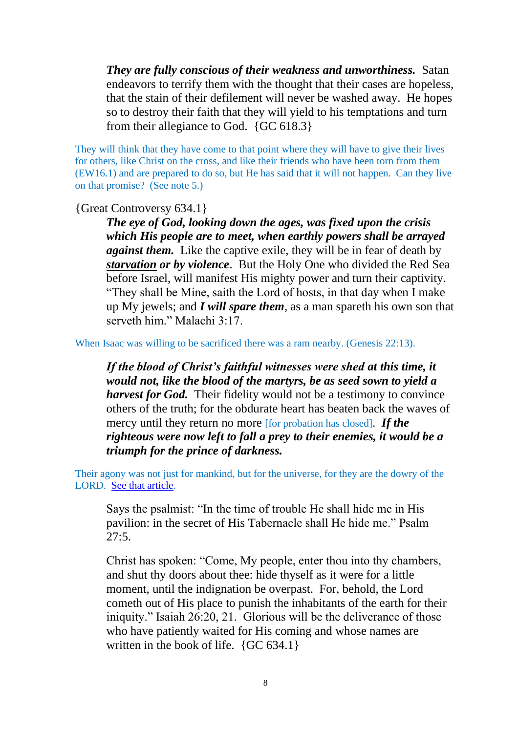*They are fully conscious of their weakness and unworthiness.* Satan endeavors to terrify them with the thought that their cases are hopeless, that the stain of their defilement will never be washed away. He hopes so to destroy their faith that they will yield to his temptations and turn from their allegiance to God. {GC 618.3}

They will think that they have come to that point where they will have to give their lives for others, like Christ on the cross, and like their friends who have been torn from them (EW16.1) and are prepared to do so, but He has said that it will not happen. Can they live on that promise? (See note 5.)

### {Great Controversy 634.1}

*The eye of God, looking down the ages, was fixed upon the crisis which His people are to meet, when earthly powers shall be arrayed against them.* Like the captive exile, they will be in fear of death by *starvation or by violence*. But the Holy One who divided the Red Sea before Israel, will manifest His mighty power and turn their captivity. "They shall be Mine, saith the Lord of hosts, in that day when I make up My jewels; and *I will spare them*, as a man spareth his own son that serveth him." Malachi 3:17.

When Isaac was willing to be sacrificed there was a ram nearby. (Genesis 22:13).

*If the blood of Christ's faithful witnesses were shed at this time, it would not, like the blood of the martyrs, be as seed sown to yield a harvest for God.* Their fidelity would not be a testimony to convince others of the truth; for the obdurate heart has beaten back the waves of mercy until they return no more [for probation has closed]. *If the righteous were now left to fall a prey to their enemies, it would be a triumph for the prince of darkness.*

Their agony was not just for mankind, but for the universe, for they are the dowry of the LORD. [See that article.](https://ancient-sda.com/ancient/the_trilogy/why_the_dowry.pdf)

Says the psalmist: "In the time of trouble He shall hide me in His pavilion: in the secret of His Tabernacle shall He hide me." Psalm 27:5.

Christ has spoken: "Come, My people, enter thou into thy chambers, and shut thy doors about thee: hide thyself as it were for a little moment, until the indignation be overpast. For, behold, the Lord cometh out of His place to punish the inhabitants of the earth for their iniquity." Isaiah 26:20, 21. Glorious will be the deliverance of those who have patiently waited for His coming and whose names are written in the book of life. {GC 634.1}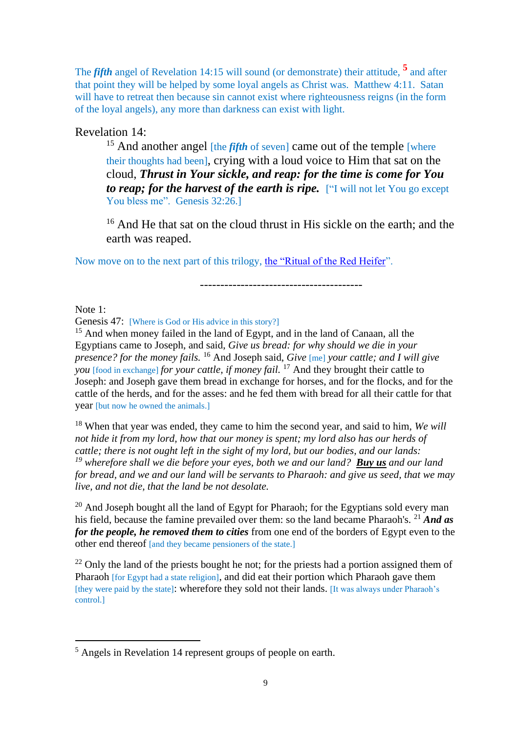The *fifth* angel of Revelation 14:15 will sound (or demonstrate) their attitude, **<sup>5</sup>** and after that point they will be helped by some loyal angels as Christ was. Matthew 4:11. Satan will have to retreat then because sin cannot exist where righteousness reigns (in the form of the loyal angels), any more than darkness can exist with light.

Revelation 14:

<sup>15</sup> And another angel [the *fifth* of seven] came out of the temple [where their thoughts had been], crying with a loud voice to Him that sat on the cloud, *Thrust in Your sickle, and reap: for the time is come for You to reap; for the harvest of the earth is ripe.* ["I will not let You go except You bless me". Genesis 32:26.]

<sup>16</sup> And He that sat on the cloud thrust in His sickle on the earth; and the earth was reaped.

Now move on to the next part of this trilogy, [the "Ritual of the Red Heifer"](https://ancient-sda.com/ancient/the_trilogy/why_the_ritual_of_red_heifer.pdf).

----------------------------------------

Note 1:

Genesis 47: [Where is God or His advice in this story?]

<sup>15</sup> And when money failed in the land of Egypt, and in the land of Canaan, all the Egyptians came to Joseph, and said, *Give us bread: for why should we die in your presence? for the money fails.* <sup>16</sup> And Joseph said, *Give* [me] *your cattle; and I will give you* [food in exchange] *for your cattle, if money fail.* <sup>17</sup> And they brought their cattle to Joseph: and Joseph gave them bread in exchange for horses, and for the flocks, and for the cattle of the herds, and for the asses: and he fed them with bread for all their cattle for that year [but now he owned the animals.]

<sup>18</sup> When that year was ended, they came to him the second year, and said to him, *We will not hide it from my lord, how that our money is spent; my lord also has our herds of cattle; there is not ought left in the sight of my lord, but our bodies, and our lands: <sup>19</sup> wherefore shall we die before your eyes, both we and our land? Buy us and our land for bread, and we and our land will be servants to Pharaoh: and give us seed, that we may live, and not die, that the land be not desolate.* 

 $20$  And Joseph bought all the land of Egypt for Pharaoh; for the Egyptians sold every man his field, because the famine prevailed over them: so the land became Pharaoh's. <sup>21</sup> *And as for the people, he removed them to cities* from one end of the borders of Egypt even to the other end thereof [and they became pensioners of the state.]

 $22$  Only the land of the priests bought he not; for the priests had a portion assigned them of Pharaoh [for Egypt had a state religion], and did eat their portion which Pharaoh gave them [they were paid by the state]: wherefore they sold not their lands. [It was always under Pharaoh's control.]

<sup>5</sup> Angels in Revelation 14 represent groups of people on earth.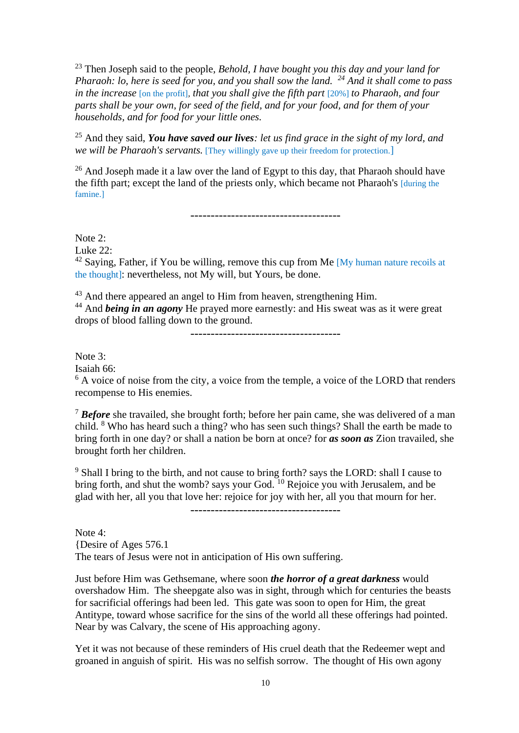<sup>23</sup> Then Joseph said to the people, *Behold, I have bought you this day and your land for Pharaoh: lo, here is seed for you, and you shall sow the land. <sup>24</sup> And it shall come to pass in the increase* [on the profit]*, that you shall give the fifth part* [20%] *to Pharaoh, and four parts shall be your own, for seed of the field, and for your food, and for them of your households, and for food for your little ones.* 

<sup>25</sup> And they said, *You have saved our lives: let us find grace in the sight of my lord, and we will be Pharaoh's servants.* [They willingly gave up their freedom for protection.]

 $26$  And Joseph made it a law over the land of Egypt to this day, that Pharaoh should have the fifth part; except the land of the priests only, which became not Pharaoh's [during the famine.]

-------------------------------------

Note 2:

Luke 22:

 $42$  Saying, Father, if You be willing, remove this cup from Me [My human nature recoils at the thought]: nevertheless, not My will, but Yours, be done.

<sup>43</sup> And there appeared an angel to Him from heaven, strengthening Him. <sup>44</sup> And *being in an agony* He prayed more earnestly: and His sweat was as it were great drops of blood falling down to the ground.

-------------------------------------

Note 3:

Isaiah 66:

 $6$  A voice of noise from the city, a voice from the temple, a voice of the LORD that renders recompense to His enemies.

<sup>7</sup> **Before** she travailed, she brought forth; before her pain came, she was delivered of a man child. <sup>8</sup> Who has heard such a thing? who has seen such things? Shall the earth be made to bring forth in one day? or shall a nation be born at once? for *as soon as* Zion travailed, she brought forth her children.

<sup>9</sup> Shall I bring to the birth, and not cause to bring forth? says the LORD: shall I cause to bring forth, and shut the womb? says your God. <sup>10</sup> Rejoice you with Jerusalem, and be glad with her, all you that love her: rejoice for joy with her, all you that mourn for her.

-------------------------------------

Note 4: {Desire of Ages 576.1 The tears of Jesus were not in anticipation of His own suffering.

Just before Him was Gethsemane, where soon *the horror of a great darkness* would overshadow Him. The sheepgate also was in sight, through which for centuries the beasts for sacrificial offerings had been led. This gate was soon to open for Him, the great Antitype, toward whose sacrifice for the sins of the world all these offerings had pointed. Near by was Calvary, the scene of His approaching agony.

Yet it was not because of these reminders of His cruel death that the Redeemer wept and groaned in anguish of spirit. His was no selfish sorrow. The thought of His own agony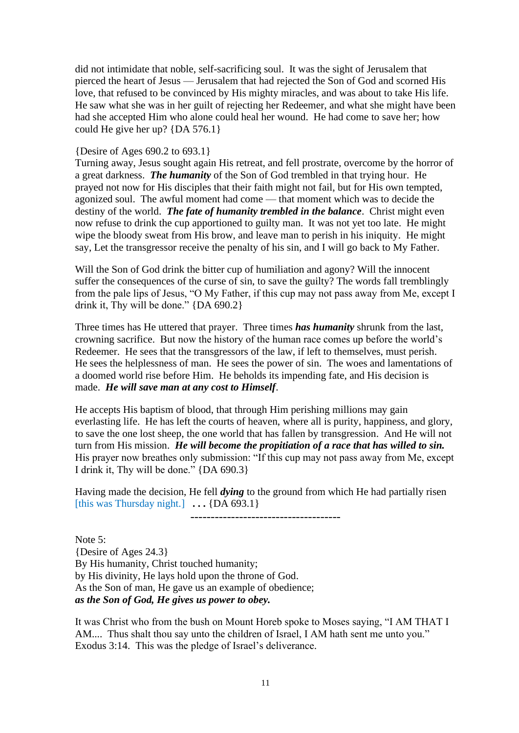did not intimidate that noble, self-sacrificing soul. It was the sight of Jerusalem that pierced the heart of Jesus — Jerusalem that had rejected the Son of God and scorned His love, that refused to be convinced by His mighty miracles, and was about to take His life. He saw what she was in her guilt of rejecting her Redeemer, and what she might have been had she accepted Him who alone could heal her wound. He had come to save her; how could He give her up? {DA 576.1}

#### {Desire of Ages 690.2 to 693.1}

Turning away, Jesus sought again His retreat, and fell prostrate, overcome by the horror of a great darkness. *The humanity* of the Son of God trembled in that trying hour. He prayed not now for His disciples that their faith might not fail, but for His own tempted, agonized soul. The awful moment had come — that moment which was to decide the destiny of the world. *The fate of humanity trembled in the balance*. Christ might even now refuse to drink the cup apportioned to guilty man. It was not yet too late. He might wipe the bloody sweat from His brow, and leave man to perish in his iniquity. He might say, Let the transgressor receive the penalty of his sin, and I will go back to My Father.

Will the Son of God drink the bitter cup of humiliation and agony? Will the innocent suffer the consequences of the curse of sin, to save the guilty? The words fall tremblingly from the pale lips of Jesus, "O My Father, if this cup may not pass away from Me, except I drink it, Thy will be done." {DA 690.2}

Three times has He uttered that prayer. Three times *has humanity* shrunk from the last, crowning sacrifice. But now the history of the human race comes up before the world's Redeemer. He sees that the transgressors of the law, if left to themselves, must perish. He sees the helplessness of man. He sees the power of sin. The woes and lamentations of a doomed world rise before Him. He beholds its impending fate, and His decision is made. *He will save man at any cost to Himself*.

He accepts His baptism of blood, that through Him perishing millions may gain everlasting life. He has left the courts of heaven, where all is purity, happiness, and glory, to save the one lost sheep, the one world that has fallen by transgression. And He will not turn from His mission. *He will become the propitiation of a race that has willed to sin.* His prayer now breathes only submission: "If this cup may not pass away from Me, except I drink it, Thy will be done." {DA 690.3}

Having made the decision, He fell *dying* to the ground from which He had partially risen [this was Thursday night.] **. . .** {DA 693.1}

-------------------------------------

Note 5: {Desire of Ages 24.3} By His humanity, Christ touched humanity; by His divinity, He lays hold upon the throne of God. As the Son of man, He gave us an example of obedience; *as the Son of God, He gives us power to obey.*

It was Christ who from the bush on Mount Horeb spoke to Moses saying, "I AM THAT I AM.... Thus shalt thou say unto the children of Israel, I AM hath sent me unto you." Exodus 3:14. This was the pledge of Israel's deliverance.